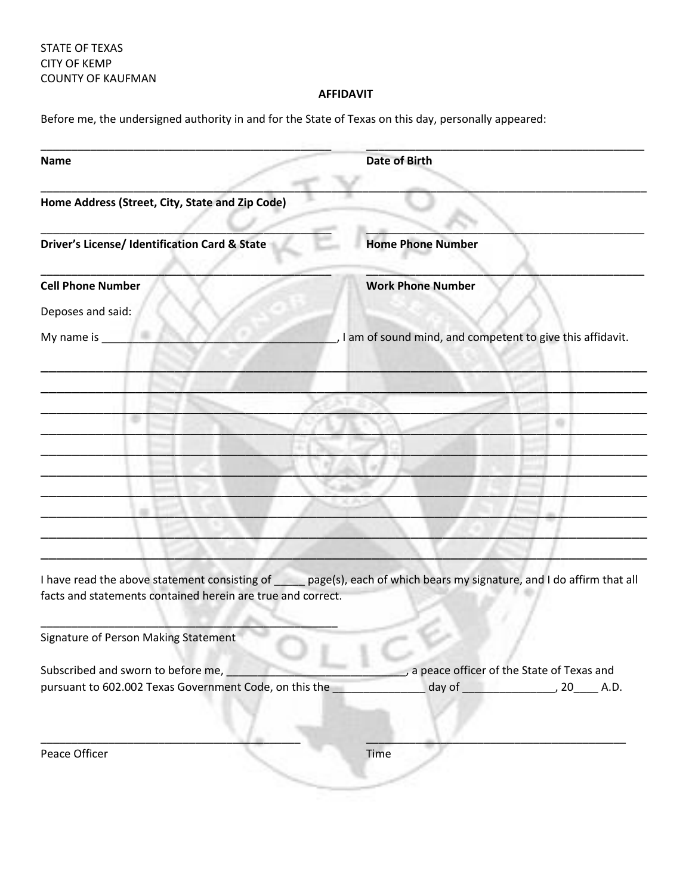STATE OF TEXAS CITY OF KEMP COUNTY OF KAUFMAN

## **AFFIDAVIT**

Before me, the undersigned authority in and for the State of Texas on this day, personally appeared:

| <b>Name</b>              |                                                             | <b>Date of Birth</b>                                                                                                    |
|--------------------------|-------------------------------------------------------------|-------------------------------------------------------------------------------------------------------------------------|
|                          | Home Address (Street, City, State and Zip Code)             |                                                                                                                         |
|                          | Driver's License/ Identification Card & State               | <b>Home Phone Number</b>                                                                                                |
| <b>Cell Phone Number</b> |                                                             | <b>Work Phone Number</b>                                                                                                |
| Deposes and said:        |                                                             |                                                                                                                         |
| My name is _             |                                                             | , I am of sound mind, and competent to give this affidavit.                                                             |
|                          |                                                             |                                                                                                                         |
|                          |                                                             |                                                                                                                         |
|                          |                                                             |                                                                                                                         |
|                          |                                                             |                                                                                                                         |
|                          |                                                             |                                                                                                                         |
|                          |                                                             |                                                                                                                         |
|                          |                                                             |                                                                                                                         |
|                          |                                                             |                                                                                                                         |
|                          | facts and statements contained herein are true and correct. | I have read the above statement consisting of _____ page(s), each of which bears my signature, and I do affirm that all |
|                          | Signature of Person Making Statement                        |                                                                                                                         |
|                          | Subscribed and sworn to before me,                          | a peace officer of the State of Texas and                                                                               |
|                          | pursuant to 602.002 Texas Government Code, on this the      |                                                                                                                         |
| Peace Officer            |                                                             | Time                                                                                                                    |